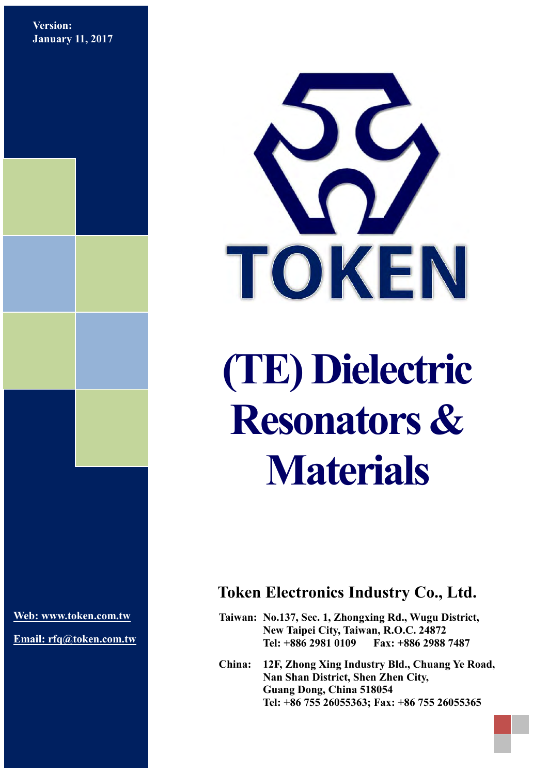**Version: January 11, 2017**



# **(TE) Dielectric Resonators & Materials**

**[Web: www.token.com.tw](http://www.token.com.tw/)**

**Email: rfq@token.com.tw**

## **Token Electronics Industry Co., Ltd.**

**Taiwan: No.137, Sec. 1, Zhongxing Rd., Wugu District, New Taipei City, Taiwan, R.O.C. 24872 Tel: +886 2981 0109 Fax: +886 2988 7487**

**China: 12F, Zhong Xing Industry Bld., Chuang Ye Road, Nan Shan District, Shen Zhen City, Guang Dong, China 518054 Tel: +86 755 26055363; Fax: +86 755 26055365**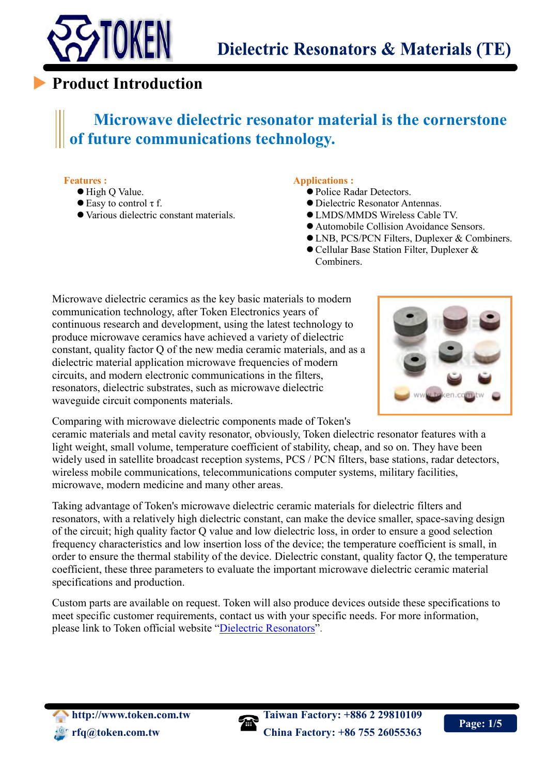

# **Product Introduction**

# **Microwave dielectric resonator material is the cornerstone of future communications technology.**

#### **Features :**

 $\overline{a}$ 

- High Q Value.
- $\bullet$  Easy to control  $\tau$  f.
- Various dielectric constant materials.

#### **Applications :**

- Police Radar Detectors.
- Dielectric Resonator Antennas.
- LMDS/MMDS Wireless Cable TV.
- Automobile Collision Avoidance Sensors.
- LNB, PCS/PCN Filters, Duplexer & Combiners.
- Cellular Base Station Filter, Duplexer &
- Combiners.

Microwave dielectric ceramics as the key basic materials to modern communication technology, after Token Electronics years of continuous research and development, using the latest technology to produce microwave ceramics have achieved a variety of dielectric constant, quality factor Q of the new media ceramic materials, and as a dielectric material application microwave frequencies of modern circuits, and modern electronic communications in the filters, resonators, dielectric substrates, such as microwave dielectric waveguide circuit components materials.



Comparing with microwave dielectric components made of Token's

ceramic materials and metal cavity resonator, obviously, Token dielectric resonator features with a light weight, small volume, temperature coefficient of stability, cheap, and so on. They have been widely used in satellite broadcast reception systems, PCS / PCN filters, base stations, radar detectors, wireless mobile communications, telecommunications computer systems, military facilities, microwave, modern medicine and many other areas.

Taking advantage of Token's microwave dielectric ceramic materials for dielectric filters and resonators, with a relatively high dielectric constant, can make the device smaller, space-saving design of the circuit; high quality factor Q value and low dielectric loss, in order to ensure a good selection frequency characteristics and low insertion loss of the device; the temperature coefficient is small, in order to ensure the thermal stability of the device. Dielectric constant, quality factor Q, the temperature coefficient, these three parameters to evaluate the important microwave dielectric ceramic material specifications and production.

Custom parts are available on request. Token will also produce devices outside these specifications to meet specific customer requirements, contact us with your specific needs. For more information, please link to Token official website "[Dielectric Resonators](http://www.token.com.tw/dielectric/index.html)".

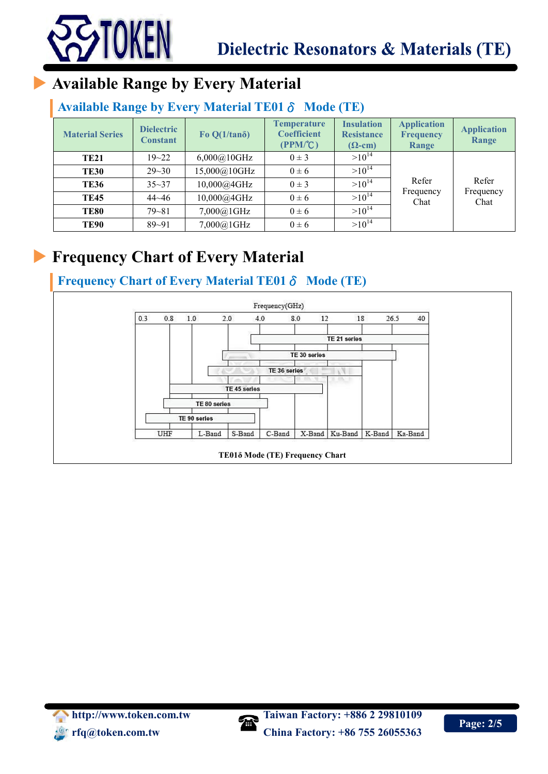

# **Available Range by Every Material**

## **Available Range by Every Material TE01**δ **Mode (TE)**

| <b>Material Series</b> | <b>Dielectric</b><br><b>Constant</b> | Fo $Q(1/tan\delta)$                    | <b>Temperature</b><br><b>Coefficient</b><br>(PPM <sup>o</sup> C) | <b>Insulation</b><br><b>Resistance</b><br>$(\Omega$ -cm) | <b>Application</b><br><b>Frequency</b><br>Range | <b>Application</b><br>Range |
|------------------------|--------------------------------------|----------------------------------------|------------------------------------------------------------------|----------------------------------------------------------|-------------------------------------------------|-----------------------------|
| <b>TE21</b>            | $19 - 22$                            | 6,000@10GHz                            | $0 \pm 3$                                                        | $>10^{14}$                                               |                                                 | Refer                       |
| <b>TE30</b>            | $29 - 30$                            | 15,000@10GHz                           | $0 \pm 6$                                                        | $>10^{14}$                                               |                                                 |                             |
| <b>TE36</b>            | $35 - 37$                            | 10,000@4GHz                            | $0 \pm 3$                                                        | $>10^{14}$                                               | Refer                                           |                             |
| <b>TE45</b>            | $44 - 46$                            | $>10^{14}$<br>10,000@4GHz<br>$0 \pm 6$ |                                                                  | Frequency<br>Chat                                        | Frequency<br>Chat                               |                             |
| <b>TE80</b>            | $79 - 81$                            | 7,000@1GHz                             | $0 \pm 6$                                                        | $>10^{14}$                                               |                                                 |                             |
| <b>TE90</b>            | $89 - 91$                            | 7,000@1GHz                             | $0 \pm 6$                                                        | $>10^{14}$                                               |                                                 |                             |

# **Frequency Chart of Every Material**

## **Frequency Chart of Every Material TE01**δ **Mode (TE)**



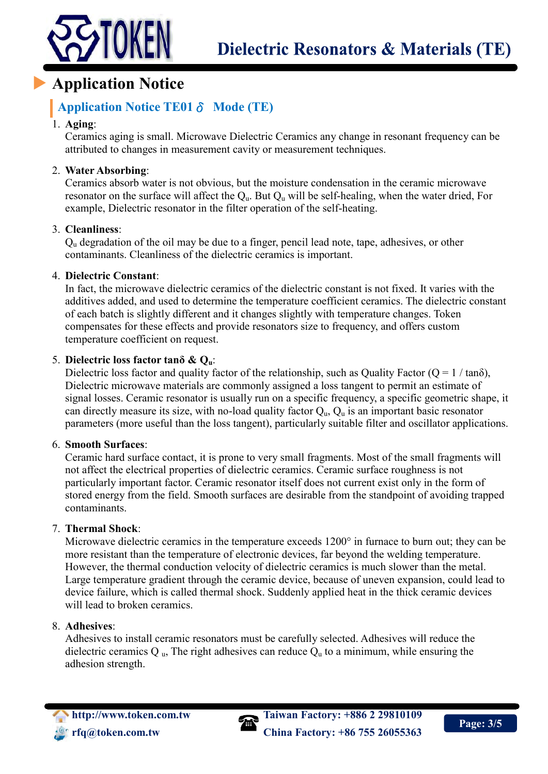



# **Application Notice**

### **Application Notice TE01**δ **Mode (TE)**

#### 1. **Aging**:

Ceramics aging is small. Microwave Dielectric Ceramics any change in resonant frequency can be attributed to changes in measurement cavity or measurement techniques.

#### 2. **Water Absorbing**:

Ceramics absorb water is not obvious, but the moisture condensation in the ceramic microwave resonator on the surface will affect the  $Q_{\text{u}}$ . But  $Q_{\text{u}}$  will be self-healing, when the water dried, For example, Dielectric resonator in the filter operation of the self-heating.

#### 3. **Cleanliness**:

Q<sup>u</sup> degradation of the oil may be due to a finger, pencil lead note, tape, adhesives, or other contaminants. Cleanliness of the dielectric ceramics is important.

#### 4. **Dielectric Constant**:

In fact, the microwave dielectric ceramics of the dielectric constant is not fixed. It varies with the additives added, and used to determine the temperature coefficient ceramics. The dielectric constant of each batch is slightly different and it changes slightly with temperature changes. Token compensates for these effects and provide resonators size to frequency, and offers custom temperature coefficient on request.

#### 5. **Dielectric loss factor tanδ & Qu**:

Dielectric loss factor and quality factor of the relationship, such as Quality Factor ( $Q = 1 / \tan \delta$ ), Dielectric microwave materials are commonly assigned a loss tangent to permit an estimate of signal losses. Ceramic resonator is usually run on a specific frequency, a specific geometric shape, it can directly measure its size, with no-load quality factor  $Q_{u}$ ,  $Q_{u}$  is an important basic resonator parameters (more useful than the loss tangent), particularly suitable filter and oscillator applications.

#### 6. **Smooth Surfaces**:

Ceramic hard surface contact, it is prone to very small fragments. Most of the small fragments will not affect the electrical properties of dielectric ceramics. Ceramic surface roughness is not particularly important factor. Ceramic resonator itself does not current exist only in the form of stored energy from the field. Smooth surfaces are desirable from the standpoint of avoiding trapped contaminants.

#### 7. **Thermal Shock**:

Microwave dielectric ceramics in the temperature exceeds 1200° in furnace to burn out; they can be more resistant than the temperature of electronic devices, far beyond the welding temperature. However, the thermal conduction velocity of dielectric ceramics is much slower than the metal. Large temperature gradient through the ceramic device, because of uneven expansion, could lead to device failure, which is called thermal shock. Suddenly applied heat in the thick ceramic devices will lead to broken ceramics.

#### 8. **Adhesives**:

Adhesives to install ceramic resonators must be carefully selected. Adhesives will reduce the dielectric ceramics Q  $_{\text{u}}$ , The right adhesives can reduce  $Q_{\text{u}}$  to a minimum, while ensuring the adhesion strength.



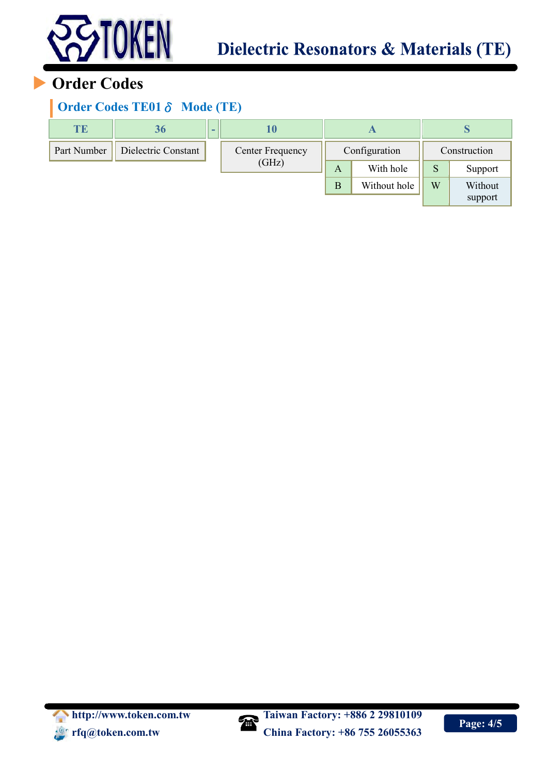

# **Order Codes**

## **Order Codes TE01**δ **Mode (TE)**

| TE          | 36                  | $\overline{\phantom{0}}$ | I U              |   |               |   | p            |  |
|-------------|---------------------|--------------------------|------------------|---|---------------|---|--------------|--|
| Part Number | Dielectric Constant |                          | Center Frequency |   | Configuration |   | Construction |  |
|             |                     |                          | (GHz)            | A | With hole     | S | Support      |  |
|             |                     |                          |                  | B | Without hole  | W | Without      |  |
|             |                     |                          |                  |   |               |   | support      |  |